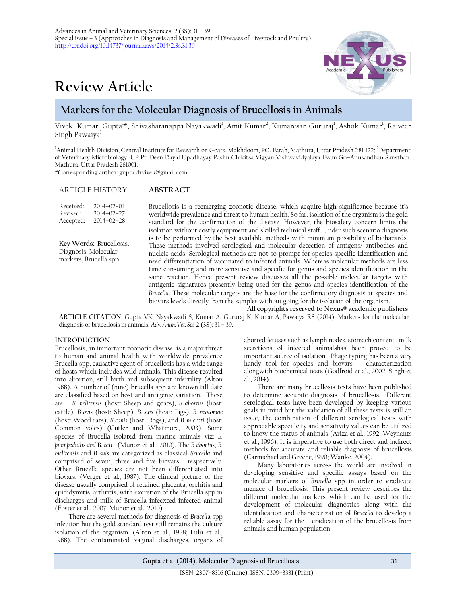# **Review Article**



## **Markers for the Molecular Diagnosis of Brucellosis in Animals**

Vivek Kumar Gupta<sup>l</sup>\*, Shivasharanappa Nayakwadi<sup>1</sup>, Amit Kumar<sup>2</sup>, Kumaresan Gururaj<sup>1</sup>, Ashok Kumar<sup>1</sup>, Rajveer Singh Pawaiya<sup>1</sup>

<sup>1</sup>Animal Health Division, Central Institute for Research on Goats, Makhdoom, PO. Farah, Mathura, Uttar Pradesh 281 122; <sup>2</sup>Department of Veterinary Microbiology, UP Pt. Deen Dayal Upadhayay Pashu Chikitsa Vigyan Vishwavidyalaya Evam Go–Anusandhan Sansthan. Mathura, Uttar Pradesh 281001.

\*Corresponding author: [gupta.drvivek@gmail.com](mailto:gupta.drvivek@gmail.com)

| <b>ARTICLE HISTORY</b>                                                                                                                                                          | ABSTRACT                                                                                                                                                                                                                                                                                                                                                                                                                                                                                                                                                                                                                                                                                                                                                                                                                                                          |  |  |
|---------------------------------------------------------------------------------------------------------------------------------------------------------------------------------|-------------------------------------------------------------------------------------------------------------------------------------------------------------------------------------------------------------------------------------------------------------------------------------------------------------------------------------------------------------------------------------------------------------------------------------------------------------------------------------------------------------------------------------------------------------------------------------------------------------------------------------------------------------------------------------------------------------------------------------------------------------------------------------------------------------------------------------------------------------------|--|--|
| Received:<br>$2014 - 02 - 01$<br>Revised:<br>$2014 - 02 - 27$<br>$2014 - 02 - 28$<br>Accepted:                                                                                  | Brucellosis is a reemerging zoonotic disease, which acquire high significance because it's<br>worldwide prevalence and threat to human health. So far, isolation of the organism is the gold<br>standard for the confirmation of the disease. However, the biosafety concern limits the<br>isolation without costly equipment and skilled technical staff. Under such scenario diagnosis                                                                                                                                                                                                                                                                                                                                                                                                                                                                          |  |  |
| Key Words: Brucellosis,<br>Diagnosis, Molecular<br>markers, Brucella spp                                                                                                        | is to be performed by the best available methods with minimum possibility of biohazards.<br>These methods involved serological and molecular detection of antigens/ antibodies and<br>nucleic acids. Serological methods are not so prompt for species specific identification and<br>need differentiation of vaccinated to infected animals. Whereas molecular methods are less<br>time consuming and more sensitive and specific for genus and species identification in the<br>same reaction. Hence present review discusses all the possible molecular targets with<br>antigenic signatures presently being used for the genus and species identification of the<br>Brucella. These molecular targets are the base for the confirmatory diagnosis at species and<br>biovars levels directly from the samples without going for the isolation of the organism. |  |  |
| All copyrights reserved to Nexus® academic publishers<br>ADTICLE CITATION: Cupto VV, Novelweed: C. Vumer A. Cupurei V, Vumer A. Deveive D.C. (2014), Merliano for the moleculer |                                                                                                                                                                                                                                                                                                                                                                                                                                                                                                                                                                                                                                                                                                                                                                                                                                                                   |  |  |

**ARTICLE CITATION**: Gupta VK, Nayakwadi S, Kumar A, Gururaj K, Kumar A, Pawaiya RS (2014). Markers for the molecular diagnosis of brucellosis in animals. *Adv. Anim. Vet. Sci.* 2 (3S): 31 – 39.

### **INTRODUCTION**

Brucellosis, an important zoonotic disease, is a major threat to human and animal health with worldwide prevalence Brucella spp, causative agent of brucellosis has a wide range of hosts which includes wild animals. This disease resulted into abortion, still birth and subsequent infertility (Alton 1988). A number of (nine) brucella spp are known till date are classified based on host and antigenic variation. These are *B melitensis* (host: Sheep and goats), *B abortus* (host: cattle), *B ovis* (host: Sheep), *B. suis* (host: Pigs), *B. neotomae* (host: Wood rats), *B canis* (host: Dogs), and *B. microti* (host: Common voles) (Cutler and Whatmore, 2003). Some species of Brucella isolated from marine animals viz: *B. pinnipedialis and* B*. ceti* (Munoz et al., 2010). The *B abortus*, *B. melitensis* and *B. suis* are categorized as classical *Brucella* and comprised of seven, three and five biovars respectively. Other Brucella species are not been differentiated into biovars. (Verger et al., 1987). The clinical picture of the disease usually comprised of retained placenta, orchitis and epididymitis, arthritis, with excretion of the Brucella spp in discharges and milk of Brucella infecxted infected animal (Foster et al., 2007; Munoz et al., 2010).

There are several methods for diagnosis of *Brucell*a spp infection but the gold standard test still remains the culture isolation of the organism. (Alton et al., 1988; Lulu et al., 1988). The contaminated vaginal discharges, organs of

aborted fetuses such as lymph nodes, stomach content , milk secretions of infected animalshas been proved to be important source of isolation. Phage typing has been a very handy tool for species and biovars characterization alongwith biochemical tests (Godfroid et al., 2002, Singh et al., 2014)

There are many brucellosis tests have been published to determine accurate diagnosis of brucellosis. Different serological tests have been developed by keeping various goals in mind but the validation of all these tests is still an issue, the combination of different serological tests with appreciable specificity and sensitivity values can be utilized to know the status of animals (Ariza et al., 1992; Weynants et al., 1996). It is imperative to use both direct and indirect methods for accurate and reliable diagnosis of brucellosis (Carmichael and Greene, 1990; Wanke, 2004).

Many laboratories across the world are involved in developing sensitive and specific assays based on the molecular markers of *Brucella* spp in order to eradicate menace of brucellosis. This present review describes the different molecular markers which can be used for the development of molecular diagnostics along with the identification and characterization of *Brucella* to develop a reliable assay for the eradication of the brucellosis from animals and human population.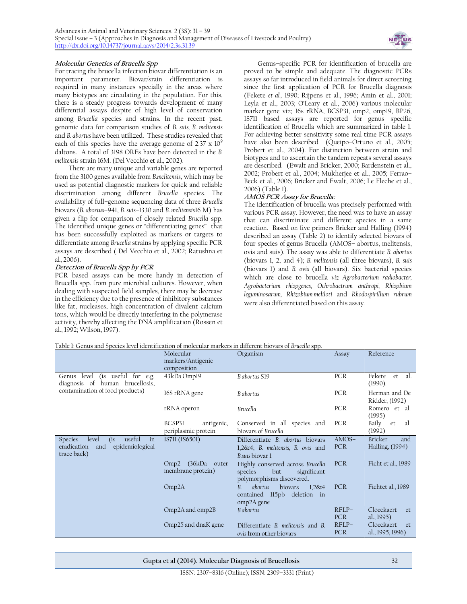

#### **Molecular Genetics of Brucella Spp**

For tracing the brucella infection biovar differentiation is an important parameter. Biovar/srain differentiation is required in many instances specially in the areas where many biotypes are circulating in the population. For this, there is a steady progress towards development of many differential assays despite of high level of conservation among *Brucella* species and strains. In the recent past, genomic data for comparison studies of *B. suis, B. melitensis* and *B. abortus* have been utilized. These studies revealed that each of this species have the average genome of  $2.37 \times 10^9$ daltons. A total of 3198 ORFs have been detected in the *B. melitensis* strain 16M. (Del Vecchio et al.*,* 2002).

There are many unique and variable genes are reported from the 3100 genes available from *B.melitensis*, which may be used as potential diagnostic markers for quick and reliable discrimination among different *Brucella* species. The availability of full–genome sequencing data of three *Brucella*  biovars (*B. abortus*–941, *B. suis–*1330 and *B. melitensis*16 M) has given a flip for comparison of closely related *Brucella* spp. The identified unique genes or "differentiating genes" that has been successfully exploited as markers or targets to differentiate among *Brucella* strains by applying specific PCR assays are described ( Del Vecchio et al.*,* 2002; Ratushna et al*.,* 2006).

#### **Detection of Brucella Spp by PCR**

PCR based assays can be more handy in detection of Brucella spp. from pure microbial cultures. However, when dealing with suspected field samples, there may be decrease in the efficiency due to the presence of inhibitory substances like fat, nucleases, high concentration of divalent calcium ions, which would be directly interfering in the polymerase activity, thereby affecting the DNA amplification (Rossen et al., 1992; Wilson, 1997).

Genus–specific PCR for identification of brucella are proved to be simple and adequate. The diagnostic PCRs assays so far introduced in field animals for direct screening since the first application of PCR for Brucella diagnosis (Fekete *et al.,* 1990; Rijpens et al., 1996; Amin et al., 2001; Leyla et al., 2003; O'Leary et al., 2006) various molecular marker gene viz; 16s rRNA, BCSP31, omp2, omp19, BP26, IS711 based assays are reported for genus specific identification of Brucella which are summarized in table 1. For achieving better sensitivity some real time PCR assays have also been described (Queipo–Ortuno et al., 2005; Probert et al., 2004). For distinction between strain and biotypes and to ascertain the tandem repeats several assays are described. (Ewalt and Bricker, 2000; Bardenstein et al., 2002; Probert et al., 2004; Mukherjee et al., 2005; Ferrao– Beck et al., 2006; Bricker and Ewalt, 2006; Le Fleche et al., 2006) (Table 1).

#### **AMOS PCR Assay for Brucella:**

The identification of brucella was precisely performed with various PCR assay. However, the need was to have an assay that can discriminate and different species in a same reaction. Based on five primers Bricker and Halling (1994) described an assay (Table 2) to identify selected biovars of four species of genus Brucella (AMOS– abortus, melitensis, ovis and suis). The assay was able to differentiate *B. abortus* (biovars 1, 2, and 4); *B. melitensis* (all three biovars), *B. suis*  (biovars 1) and *B. ovis* (all biovars). Six bacterial species which are close to brucella *viz Agrobacterium radiobacter, Agrobacterium rhizogenes, Ochrobactrum anthropi, Rhizobium leguminosarum, Rhizobium meliloti* and *Rhodospirillum rubrum* were also differentiated based on this assay*.*

#### Table 1: Genus and Species level identification of molecular markers in different biovars of *Brucella* spp.

|                                                                                                               | Molecular<br>markers/Antigenic<br>composition    | Organism                                                                                       | Assay                 | Reference                                |
|---------------------------------------------------------------------------------------------------------------|--------------------------------------------------|------------------------------------------------------------------------------------------------|-----------------------|------------------------------------------|
| (is useful for e.g.<br>level<br>Genus<br>diagnosis of human brucellosis,                                      | 43kDa Omp19                                      | B abortus S19                                                                                  | PCR                   | Fekete<br>et<br>al.<br>(1990).           |
| contamination of food products)                                                                               | 16S rRNA gene                                    | B abortus                                                                                      | <b>PCR</b>            | Herman and De<br>Ridder, (1992)          |
|                                                                                                               | rRNA operon                                      | Brucella                                                                                       | PCR                   | Romero et al.<br>(1995)                  |
|                                                                                                               | BCSP31<br>antigenic,<br>periplasmic protein      | Conserved in all species and<br>biovars of Brucella                                            | PCR                   | Baily<br>et<br>al.<br>(1992)             |
| (i <sub>s</sub> )<br>useful<br>Species<br>level<br>in<br>epidemiological<br>eradication<br>and<br>trace back) | IS711 (IS6501)                                   | Differentiate B. abortus biovars<br>1,2&4; B. melitensis, B. ovis and<br>B.suis biovar 1       | $AMOS-$<br>PCR        | <b>Bricker</b><br>and<br>Halling, (1994) |
|                                                                                                               | $Omp2$ (36 $kDa$ )<br>outer<br>membrane protein) | Highly conserved across Brucella<br>but<br>significant<br>species<br>polymorphisms discovered. | <b>PCR</b>            | Ficht et al., 1989                       |
|                                                                                                               | Omp2A                                            | abortus<br>biovars<br>B <sub>1</sub><br>1.26x4<br>contained 115pb deletion in<br>omp2A gene    | <b>PCR</b>            | Fichtet al., 1989                        |
|                                                                                                               | $Omp2A$ and $omp2B$                              | <b>B</b> abortus                                                                               | $RFI.P-$<br>PCR.      | Cloeckaert<br>et<br>al., 1995)           |
|                                                                                                               | Omp25 and dnaK gene                              | Differentiate B. melitensis and B.<br>ovis from other biovars                                  | $RFLP-$<br><b>PCR</b> | Cloeckaert<br>et<br>al., 1995, 1996)     |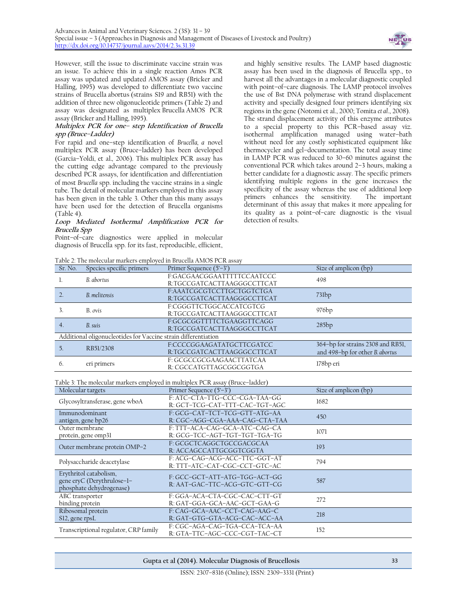

However, still the issue to discriminate vaccine strain was an issue. To achieve this in a single reaction Amos PCR assay was updated and updated AMOS assay [\(Bricker and](http://ci.vbi.vt.edu/pathinfo/pathogens/Bmelitensis_2.html#Bricker1995)  [Halling, 1995\)](http://ci.vbi.vt.edu/pathinfo/pathogens/Bmelitensis_2.html#Bricker1995) was developed to differentiate two vaccine strains of Brucella abortus (strains S19 and RB51) with the addition of three new oligonucleotide primers (Table 2) and assay was designated as multiplex Brucella AMOS PCR assay (Bricker and Halling, 1995).

#### **Multiplex PCR for one– step Identification of Brucella spp (Bruce–Ladder)**

For rapid and one–step identification of *Brucella, a* novel multiplex PCR assay (Bruce–ladder) has been developed (Garcia–Yoldi, et al.*,* 2006). This multiplex PCR assay has the cutting edge advantage compared to the previously described PCR assays, for identification and differentiation of most *Brucella* spp. including the vaccine strains in a single tube. The detail of molecular markers employed in this assay has been given in the table 3. Other than this many assays have been used for the detection of Brucella organisms (Table 4).

#### **Loop Mediated Isothermal Amplification PCR for Brucella Spp**

Point–of–care diagnostics were applied in molecular diagnosis of Brucella spp. for its fast, reproducible, efficient,

Table 2: The molecular markers employed in Brucella AMOS PCR assay

and highly sensitive results. The LAMP based diagnostic assay has been used in the diagnosis of Brucella spp., to harvest all the advantages in a molecular diagnostic coupled with point–of–care diagnosis. The LAMP protocol involves the use of Bst DNA polymerase with strand displacement activity and specially designed four primers identifying six regions in the gene (Notomi et al., 2000; Tomita *et al*., 2008). The strand displacement activity of this enzyme attributes to a special property to this PCR–based assay viz. isothermal amplification managed using water–bath without need for any costly sophisticated equipment like thermocycler and gel–documentation. The total assay time in LAMP PCR was reduced to 30–60 minutes against the conventional PCR which takes around 2–3 hours, making a better candidate for a diagnostic assay. The specific primers identifying multiple regions in the gene increases the specificity of the assay whereas the use of additional loop primers enhances the sensitivity. The important determinant of this assay that makes it more appealing for its quality as a point–of–care diagnostic is the visual detection of results.

| Tadie 2. The indiccular markers employed in brucella AlviO3 PCK assay |                                                                |                                                                               |                                   |  |
|-----------------------------------------------------------------------|----------------------------------------------------------------|-------------------------------------------------------------------------------|-----------------------------------|--|
| Sr. No.                                                               | Species specific primers                                       | Primer Sequence (5'-3')                                                       | Size of amplicon (bp)             |  |
| 1.                                                                    | B. abortus                                                     | F:GACGAACGGAATTTTTCCAATCCC                                                    | 498                               |  |
|                                                                       |                                                                | R:TGCCGATCACTTAAGGGCCTTCAT                                                    |                                   |  |
| 2.                                                                    | B. melitensis                                                  | F:AAATCGCGTCCTTGCTGGTCTGA                                                     | $73$ lbp                          |  |
|                                                                       |                                                                | R:TGCCGATCACTTAAGGGCCTTCAT                                                    |                                   |  |
| 3 <sub>1</sub>                                                        | B. ovis                                                        | F:CGGGTTCTGGCACCATCGTCG                                                       | 976bp                             |  |
|                                                                       |                                                                | R:TGCCGATCACTTAAGGGCCTTCAT                                                    |                                   |  |
| 4.                                                                    | B. suis                                                        | F:GCGCGGTTTTCTGAAGGTTCAGG                                                     | 285bp                             |  |
|                                                                       |                                                                | R:TGCCGATCACTTAAGGGCCTTCAT                                                    |                                   |  |
|                                                                       | Additional oligonucleotides for Vaccine strain differentiation |                                                                               |                                   |  |
| 5 <sub>1</sub>                                                        | RB51/2308                                                      | F:CCCCGGAAGATATGCTTCGATCC                                                     | 364-bp for strains 2308 and RB51, |  |
|                                                                       |                                                                | R:TGCCGATCACTTAAGGGCCTTCAT                                                    | and 498-bp for other B. abortus   |  |
| 6.                                                                    |                                                                | F: GCGCCGCGAAGAACTTATCAA                                                      |                                   |  |
|                                                                       | eri primers                                                    | R: CGCCATGTTAGCGGCGGTGA                                                       | 178bp eri                         |  |
|                                                                       |                                                                |                                                                               |                                   |  |
|                                                                       |                                                                | Table 3: The molecular markers employed in multiplex PCR assay (Bruce-ladder) |                                   |  |
|                                                                       | Molecular targets                                              | Primer Sequence (5'-3')                                                       | Size of amplicon (bp)             |  |
| Glycosyltransferase, gene wboA                                        |                                                                | F: ATC-CTA-TTG-CCC-CGA-TAA-GG                                                 | 1682                              |  |
|                                                                       |                                                                | R: GCT-TCG-CAT-TTT-CAC-TGT-AGC                                                |                                   |  |
| Immunodominant                                                        |                                                                | F: GCG-CAT-TCT-TCG-GTT-ATG-AA                                                 | 450                               |  |
|                                                                       | antigen, gene bp26                                             | R: CGC-AGG-CGA-AAA-CAG-CTA-TAA                                                |                                   |  |
| Outer membrane<br>protein, gene omp31                                 |                                                                | F: TTT-ACA-CAG-GCA-ATC-CAG-CA                                                 | 1071                              |  |
|                                                                       |                                                                | R: GCG-TCC-AGT-TGT-TGT-TGA-TG                                                 |                                   |  |
| Outer membrane protein OMP-2                                          |                                                                | F: GCGCTCAGGCTGCCGACGCAA                                                      | 193                               |  |
|                                                                       |                                                                | R: ACCAGCCATTGCGGTCGGTA                                                       |                                   |  |
| Polysaccharide deacetylase                                            |                                                                | F: ACG-CAG-ACG-ACC-TTC-GGT-AT                                                 | 794                               |  |
|                                                                       |                                                                | R: TTT-ATC-CAT-CGC-CCT-GTC-AC                                                 |                                   |  |
|                                                                       | Erythritol catabolism,                                         | F: GCC-GCT-ATT-ATG-TGG-ACT-GG                                                 |                                   |  |
|                                                                       | gene eryC (Derythrulose-1-                                     | R: AAT-GAC-TTC-ACG-GTC-GTT-CG                                                 | 587                               |  |
|                                                                       | phosphate dehydrogenase)                                       |                                                                               |                                   |  |
|                                                                       | ABC transporter                                                | F: GGA-ACA-CTA-CGC-CAC-CTT-GT                                                 | 272                               |  |
|                                                                       | binding protein                                                | R: GAT-GGA-GCA-AAC-GCT-GAA-G                                                  |                                   |  |
|                                                                       | Ribosomal protein                                              | F: CAG-GCA-AAC-CCT-CAG-AAG-C                                                  | 218                               |  |
| S12, gene rpsL                                                        |                                                                | R: GAT-GTG-GTA-ACG-CAC-ACC-AA                                                 |                                   |  |
|                                                                       |                                                                | F: CGC-AGA-CAG-TGA-CCA-TCA-AA                                                 | 152                               |  |
| Transcriptional regulator, CRP family                                 |                                                                | R: GTA-TTC-AGC-CCC-CGT-TAC-CT                                                 |                                   |  |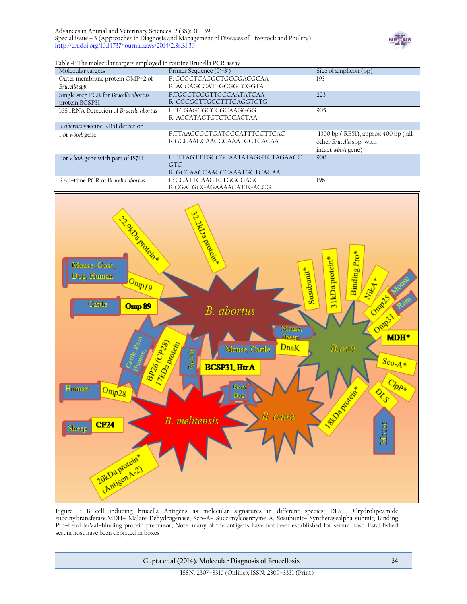

Table 4: The molecular targets employed in routine Brucella PCR assay

| $\circ$                                |                                   |                                       |
|----------------------------------------|-----------------------------------|---------------------------------------|
| Molecular targets                      | Primer Sequence $(5'-3')$         | Size of amplicon (bp)                 |
| Outer membrane protein OMP-2 of        | F: GCGCTCAGGCTGCCGACGCAA          | 193                                   |
| Brucella spp.                          | R: ACCAGCCATTGCGGTCGGTA           |                                       |
| Single step PCR for Brucella abortus   | F:TGGCTCGGTTGCCAATATCAA           | 223                                   |
| protein BCSP31                         | R: CGCGCTTGCCTTTCAGGTCTG          |                                       |
| 16S rRNA Detection of Brucella abortus | F: TCGAGCGCCCGCAAGGGG             | 905                                   |
|                                        | R: ACCATAGTGTCTCCACTAA            |                                       |
| B. abortus vaccine RB51 detection      |                                   |                                       |
| For whoA gene                          | F:TTAAGCGCTGATGCCATTTCCTTCAC      | $-1300$ bp (RB51), approx 400 bp (all |
|                                        | R:GCCAACCAACCCAAATGCTCACAA        | other Brucella spp. with              |
|                                        |                                   | intact wboA gene)                     |
| For whoA gene with part of IS711       | F:TTTAGTTTGCCGTAATATAGGTCTAGAACCT | 900                                   |
|                                        | GTC                               |                                       |
|                                        | R: GCCAACCAACCCAAATGCTCACAA       |                                       |
| Real-time PCR of Brucella abortus      | F: CCATTGAAGTCTGGCGAGC            | 196                                   |
|                                        | R:CGATGCGAGAAAACATTGACCG          |                                       |



Figure 1: B cell inducing brucella Antigens as molecular signatures in different species; DLS– Dilrydrolipoamide succinyltransferase,MDH– Malate Dehydrogenase, Sco–A– Succimylcoenzyme A, Sosubunit– Synthetasealpha submit, Binding Pro–Leu/Lle/Val–binding protein precursor; Note: many of the antigens have not been established for serum host. Established serum host have been depicted in boxes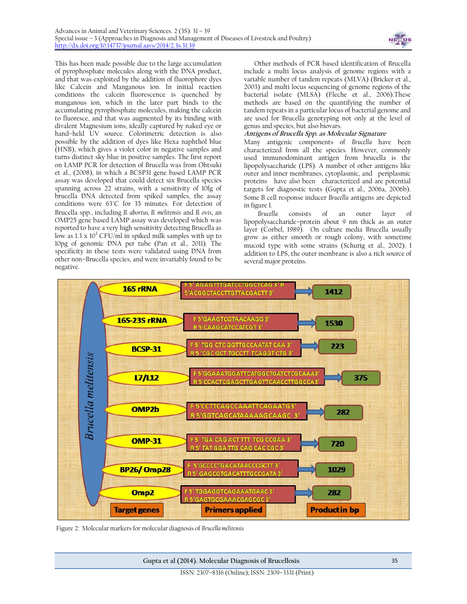

This has been made possible due to the large accumulation of pyrophosphate molecules along with the DNA product, and that was exploited by the addition of fluorophore dyes like Calcein and Manganous ion. In initial reaction conditions the calcein fluorescence is quenched by manganous ion, which in the later part binds to the accumulating pyrophosphate molecules, making the calcein to fluoresce, and that was augmented by its binding with divalent Magnesium ions, ideally captured by naked eye or hand–held UV source. Colorimetric detection is also possible by the addition of dyes like Hexa naphthol blue (HNB), which gives a violet color in negative samples and turns distinct sky blue in positive samples. The first report on LAMP PCR for detection of Brucella was from Ohtsuki et al., (2008), in which a BCSP31 gene based LAMP PCR assay was developed that could detect six Brucella species spanning across 22 strains, with a sensitivity of 10fg of brucella DNA detected from spiked samples, the assay conditions were 63°C for 35 minutes. For detection of Brucella spp., including *B. abortus, B. melitensis* and *B. ovis*, an OMP25 gene based LAMP assay was developed which was reported to have a very high sensitivity detecting Brucella as low as  $1.3 \times 10^3$  CFU/ml in spiked milk samples with up to 10pg of genomic DNA per tube (Pan et al., 2011). The specificity in these tests were validated using DNA from other non–Brucella species, and were invariably found to be negative.

Other methods of PCR based identification of Brucella include a multi locus analysis of genome regions with a variable number of tandem repeats (MLVA) (Bricker et al., 2003) and multi locus sequencing of genome regions of the bacterial isolate (MLSA) (Fleche et al., 2006).These methods are based on the quantifying the number of tandem repeats in a particular locus of bacterial genome and are used for Brucella genotyping not only at the level of genus and species, but also biovars.

#### **Antigens of Brucella Spp. as Molecular Signature**

Many antigenic components of *Brucella* have been characterized from all the species. However, commonly used immunodominant antigen from brucella is the lipopolysaccharide (LPS). A number of other antigens like outer and inner membranes, cytoplasmic, and periplasmic proteins have also been characterized and are potential targets for diagnostic tests (Gupta et al., 2006a, 2006b). Some B cell response inducer *Brucella* antigens are depicted in figure 1.

*Brucella* consists of an outer layer of lipopolysaccharide–protein about 9 nm thick as an outer layer (Corbel, 1989). On culture media Brucella usually grow as either smooth or rough colony, with sometime mucoid type with some strains (Schurig et al.*,* 2002). I addition to LPS, the outer membrane is also a rich source of several major proteins.



Figure 2: Molecular markers for molecular diagnosis of *Brucella melitensis*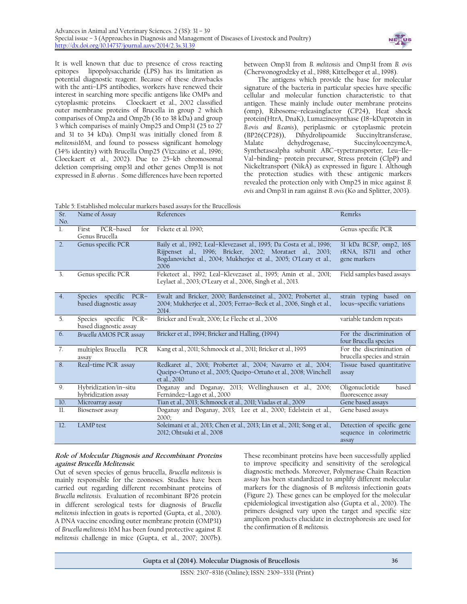

It is well known that due to presence of cross reacting epitopes lipopolysaccharide (LPS) has its limitation as potential diagnostic reagent. Because of these drawbacks with the anti–LPS antibodies, workers have renewed their interest in searching more specific antigens like OMPs and cytoplasmic proteins. Cloeckaert et al., 2002 classified outer membrane proteins of Brucella in group 2 which comparises of Omp2a and Omp2b (36 to 38 kDa) and group 3 which comparises of mainly Omp25 and Omp31 (25 to 27 and 31 to 34 kDa). Omp31 was initially cloned from *B. melitensis*16M, and found to possess significant homology (34% identity) with Brucella Omp25 (Vizcaíno et al.*,* 1996; Cloeckaert et al., 2002). Due to 25–kb chromosomal deletion comprising omp31 and other genes Omp31 is not expressed in *B. abortus* . Some differences have been reported

between Omp31 from *B. melitensis* and Omp31 from *B. ovis* (Cherwonogrodzky et al., 1988; Kittelbeger et al., 1998).

The antigens which provide the base for molecular signature of the bacteria in particular species have specific cellular and molecular function characteristic to that antigen. These mainly include outer membrane proteins (omp), Ribosome–releasingfactor (CP24), Heat shock protein(HtrA, DnaK), Lumazinesynthase (18–kDaprotein in *B.ovis and B.canis*), periplasmic or cytoplasmic protein (BP26(CP28)), Dihydrolipoamide Malate dehydrogenase, SuccinylcoenzymeA, Synthetasealpha subunit ABC–typetransporter, Leu–Ile– Val–binding– protein precursor, Stress protein (ClpP) and Nickeltransport (NikA) as expressed in figure 1. Although the protection studies with these antigenic markers revealed the protection only with Omp25 in mice against *B. ovis* and Omp31 in ram against *B. ovis* (Ko and Splitter, 2003).

Table 5: Established molecular markers based assays for the Brucellosis

| Sr.<br>No.       | Name of Assay                                      | References                                                                                                                                                                                                   | Remrks                                                          |
|------------------|----------------------------------------------------|--------------------------------------------------------------------------------------------------------------------------------------------------------------------------------------------------------------|-----------------------------------------------------------------|
| $\mathbf{L}$     | PCR-based<br>First<br>for<br>Genus Brucella        | Fekete et al. 1990;                                                                                                                                                                                          | Genus specific PCR                                              |
| $\overline{2}$ . | Genus specific PCR                                 | Baily et al., 1992; Leal-Klevezaset al., 1995; Da Costa et al., 1996;<br>Rijpenset al., 1996; Bricker, 2002; Morataet al., 2003;<br>Bogdanovichet al., 2004; Mukherjee et al., 2005; O'Leary et al.,<br>2006 | 31 kDa BCSP, omp2, 16S<br>rRNA, IS711 and other<br>gene markers |
| $\overline{3}$ . | Genus specific PCR                                 | Feketeet al., 1992; Leal-Klevezaset al., 1995; Amin et al., 2001;<br>Leylaet al., 2003; O'Leary et al., 2006, Singh et al., 2013.                                                                            | Field samples based assays                                      |
| 4.               | Species specific PCR-<br>based diagnostic assay    | Ewalt and Bricker, 2000; Bardensteinet al., 2002; Probertet al.,<br>2004; Mukherjee et al., 2005; Ferrao-Beck et al., 2006, Singh et al.,<br>2014.                                                           | strain typing based on<br>locus-specific variations             |
| $\overline{5}$ . | Species specific<br>PCR-<br>based diagnostic assay | Bricker and Ewalt, 2006; Le Fleche et al., 2006                                                                                                                                                              | variable tandem repeats                                         |
| 6.               | Brucella AMOS PCR assay                            | Bricker et al., 1994; Bricker and Halling, (1994)                                                                                                                                                            | For the discrimination of<br>four Brucella species              |
| 7.               | multiplex Brucella<br>PCR<br>assay                 | Kang et al., 2011; Schmoock et al., 2011; Bricker et al., 1995                                                                                                                                               | For the discrimination of<br>brucella species and strain        |
| 8.               | Real-time PCR assay                                | Redkaret al., 2001; Probertet al., 2004; Navarro et al., 2004;<br>Queipo-Ortuno et al., 2005; Queipo-Ortuño et al., 2008; Winchell<br>et al., 2010                                                           | Tissue based quantitative<br>assay                              |
| 9.               | Hybridization/in-situ<br>hybridization assay       | Doganay and Doganay, 2013; Wellinghausen et al., 2006;<br>Fernández-Lago et al., 2000                                                                                                                        | Oligonuclotide<br>based<br>fluorescence assay                   |
| 10.              | Microarray assay                                   | Tian et al., 2013; Schmoock et al., 2011; Viadas et al., 2009                                                                                                                                                | Gene based assays                                               |
| $\mathbf{u}$     | Biosensor assay                                    | Doganay and Doganay, 2013; Lee et al., 2000; Edelstein et al.,<br>2000:                                                                                                                                      | Gene based assays                                               |
| 12.              | <b>LAMP</b> test                                   | Soleimani et al., 2013; Chen et al., 2013; Lin et al., 2011; Song et al.,<br>2012; Ohtsuki et al., 2008                                                                                                      | Detection of specific gene<br>sequence in colorimetric<br>assay |

### **Role of Molecular Diagnosis and Recombinant Proteins against Brucella Melitensis:**

Out of seven species of genus brucella, *Brucella melitensis* is mainly responsible for the zoonoses. Studies have been carried out regarding different recombinant proteins of *Brucella melitensis.* Evaluation of recombinant BP26 protein in different serological tests for diagnosis of *Brucella melitensis* infection in goats is reported (Gupta, et al., 2010). A DNA vaccine encoding outer membrane protein (OMP31) of *Brucella melitensis* 16M has been found protective against *B. melitensis* challenge in mice (Gupta, et al., 2007; 2007b).

These recombinant proteins have been successfully applied to improve specificity and sensitivity of the serological diagnostic methods. Moreover, Polymerase Chain Reaction assay has been standardized to amplify different molecular markers for the diagnosis of B *melitensis* infectionin goats (Figure 2). These genes can be employed for the molecular epidemiological investigation also (Gupta et al., 2010). The primers designed vary upon the target and specific size amplicon products elucidate in electrophoresis are used for the confirmation of *B. melitensis.*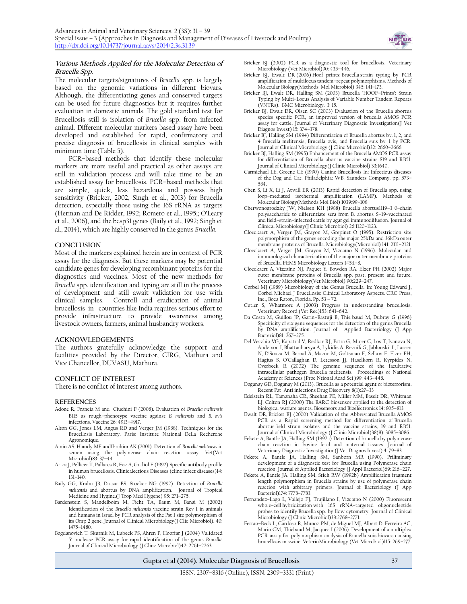

#### **Various Methods Applied for the Molecular Detection of Brucella Spp.**

The molecular targets/signatures of *Brucella* spp. is largely based on the genomic variations in different biovars. Although, the differentiating genes and conserved targets can be used for future diagnostics but it requires further evaluation in domestic animals. The gold standard test for Brucellosis still is isolation of *Brucella* spp. from infected animal. Different molecular markers based assay have been developed and established for rapid, confirmatory and precise diagnosis of brucellosis in clinical samples with minimum time (Table 5).

PCR–based methods that identify these molecular markers are more useful and practical as other assays are still in validation process and will take time to be an established assay for brucellosis. PCR–based methods that are simple, quick, less hazardous and possess high sensitivity (Bricker, 2002, Singh et al., 2013) for Brucella detection, especially those using the 16S rRNA as targets (Herman and De Ridder, 1992; Romero et al., 1995;; O'Leary et al., 2006), and the bcsp31 genes (Baily et al., 1992; Singh et al., 2014), which are highly conserved in the genus *Brucella.*

#### **CONCLUSION**

Most of the markers explained herein are in context of PCR assay for the diagnosis. But these markers may be potential candidate genes for developing recombinant proteins for the diagnostics and vaccines. Most of the new methods for *Brucella* spp. identification and typing are still in the process of development and still await validation for use with clinical samples. Controll and eradication of animal brucellosis in countries like India requires serious effort to provide infrastructure to provide awareness among livestock owners, farmers, animal husbandry workers.

#### **ACKNOWLEDGEMENTS**

The authors gratefully acknowledge the support and facilities provided by the Director, CIRG, Mathura and Vice Chancellor, DUVASU, Mathura.

#### **CONFLICT OF INTEREST**

There is no conflict of interest among authors.

#### **REFERENCES**

- Adone R, Francia M and Ciuchini F (2008). Evaluation of *Brucella melitensis* B115 as rough–phenotype vaccine against *B. melitensis* and *B. ovis* infections. Vaccine 26: 4913–4917.
- Alton GG, Jones LM, Angus RD and Verger JM (1988). Techniques for the Brucellosis Laboratory. Paris: Institute National DeLa Recherche Agronomique.
- Amin AS, Hamdy ME andIbrahim AK (2001). Detection of *Brucella melitensis* in semen using the polymerase chain reaction assay. Vet(Vet Microbiol)83: 37–44.
- Ariza J, Pellicer T, Pallares R, Foz A, Gudiol F (1992) Specific antibody profile in human brucellosis. Clinicalectious Diseases (clinc infect diseases)14: 131–140.
- Baily GG, Krahn JB, Drasar BS, Stocker NG (1992). Detection of *Brucella melitensis* and abortus by DNA amplification. Journal of Tropical
- Medicine and Hygine.(J Trop Med Hygene) 95: 271–275. Bardenstein S, Mandelboim M, Ficht TA, Baum M, Banai M (2002) Identification of the *Brucella melitensis* vaccine strain Rev 1 in animals and humans in Israel by PCR analysis of the Pst 1 site polymorphism of its Omp 2 gene. Journal of Clinical Microbiology(J Clic Microbiol). 40: 1475–1480.
- Bogdanovich T, Skurnik M, Lubeck PS, Ahren P, Hoorfar J (2004) Validated 5' nuclease PCR assay for rapid identification of the genus *Brucella*. Journal of Clinical Microbiology (J Clinc Microbiol)42: 2261–2263.
- Bricker BJ (2002) PCR as a diagnostic tool for brucellosis. Veterinary Microbiology (Vet Microbiol)90: 435–446.
- Bricker BJ, Ewalt DR (2006) Hoof prints: Brucella strain typing by PCR amplification of multilocus tandem–repeat polymorphisms. Methods of Molecular Biology(Methods Mol Microbiol) 345: 141–173.
- Bricker BJ, Ewalt DR, Halling SM (2003) Brucella 'HOOF–Prints': Strain Typing by Multi–Locus Analysis of Variable Number Tandem Repeats (VNTRs). BMC Microbiology. 3: 15.
- Bricker BJ, Ewalt DR, Olsen SC (2003) Evaluation of the Brucella abortus species specific PCR, an improved version of brucella AMOS PCR assay for cattle. Journal of Veterinary Diagnostic Investigation(J Vet Diagnos Invest) 15: 374–378.
- Bricker BJ, Halling SM (1994) Differentiation of Brucella abortus bv. 1, 2, and 4 Brucella melitensis, Brucella ovis, and Brucella suis bv. 1 by PCR. Journal of Clinical Microbiology (J Clinc Microbiol)32: 2660–2666.
- Bricker BJ, Halling SM (1995) Enhancement of the Brucella AMOS PCR assay for differentiation of Brucella abortus vaccine strains S19 and RB51. Journal of Clinical Microbiology(J Clinic Microbiol) 33:1640.
- Carmichael LE, Greene CE (1990) Canine Brucellosis In: Infectious diseases of the Dog and Cat. Philadelphia: WB. Saunders Company. pp. 573– 584.
- Chen S, Li X, Li J, Atwill ER (2013) [Rapid detection of Brucella spp. using](http://www.ncbi.nlm.nih.gov/pubmed/24026689)  loop–[mediated isothermal amplification \(LAMP\).](http://www.ncbi.nlm.nih.gov/pubmed/24026689) Methods of Molecular Biology(Methods Mol Biol) 1039:99–108
- Cherwonogrodzky JW, Nielsen KH (1988) Brucella abortus1119–3 0–chain polysaccharide to differentiate sera from B. abortus S–19–vaccinated and field–strain–infected cattle by agar gel immunodiffusion. Journal of Clinical Microbiology(J Clinic Microbiol) 26:1120–1123.
- Cloeckaert A, Verger JM, Grayon M, Grepinet O (1995). Restriction site polymorphism of the genes encoding the major 25kDa and 36kDa outer membrane proteins of Brucella. Microbiology(Microbiol) 141: 2111–2121
- Cloeckaert A, Verger JM, Grayon M, Vizcaíno N (1996). Molecular and immunological characterization of the major outer membrane proteins
- of Brucella. FEMS Microbiology Letters 145:1–8. Cloeckaert A, Vizcaíno NJ, Paquet Y, Bowden RA, Elzer PH (2002) Major outer membrane proteins of Brucella spp. past, present and future. Veterinary Microbiology(Vet Microbiol) 90:229–247.
- Corbel MJ (1989) Microbiology of the Genus Brucella. In: Young Edward J, Corbel Michael J Brucellosis: Clinical Laboratory Aspects. CRC Press, Inc., Boca Raton, Florida. Pp. 53 – 72.
- Cutler S, Whatmore A (2003) Progress in understanding brucellosis. Veterinary Record (Vet Rec)153: 641–642.
- Da Costa M, Guillou JP, Garin–Bastuji B, Thie´baud M, Dubray G (1996) Specificity of six gene sequences for the detection of the genus Brucella by DNA amplification. Journal of Applied Bacteriology (J App Bacteriol)81: 267–275.
- Del Vecchio VG, Kapatral V, Redkar RJ, Patra G, Mujer C, Los T, Ivanova N, Anderson I, Bhattacharyya A, Lykidis A, Reznik G, Jablonski L, Larsen N, D'Souza M, Bernal A, Mazur M, Goltsman E, Selkov E, Elzer PH, Hagius S, O'Callaghan D, Letesson JJ, Haselkorn R, Kyrpides N, Overbeek R (2002) The genome sequence of the facultative intracellular pathogen Brucella melitensis. Proceedings of National Academy of Sciences (Proc Ntional Acad Sci )99: 443–448.
- Doganay GD, Doganay M (2013). Brucella [as a potential agent of bioterrorism.](http://www.ncbi.nlm.nih.gov/pubmed/22934672) Recent Pat Anti infections Drug Discovery 8(1):27–33
- Edelstein RL, Tamanaha CR, Sheehan PE, Miller MM, Baselt DR, Whitman LJ, Colton RJ (2000) The BARC biosensor applied to the detection of biological warfare agents. Biosensors and Bioelectronics 14: 805–813.
- Ewalt [DR,](http://www.ncbi.nlm.nih.gov/pubmed/?term=Ewalt%20DR%5Bauth%5D) Bricker [BJ](http://www.ncbi.nlm.nih.gov/pubmed/?term=Bricker%20BJ%5Bauth%5D) (2000) Validation of the Abbreviated Brucella AMOS PCR as a Rapid screening method for differentiation of Brucella abortus field strain isolates and the vaccine strains, 19 and RB51. Journal of Clinical Microbiology (J Clinic Microbiol)38(8): 3085–3086.
- Fekete A, Bantle JA, Halling SM (1992a) Detection of brucella by polymerase chain reaction in bovine fetal and maternal tissues. Journal of Veterinary Diagnostic Investigation(J Vet Diagnos Invest) 4: 79–83.
- Fekete A, Bantle JA, Halling SM, Sanborn MR (1990). Priliminary development of a diagnostic test for Brucella using Polymerase chain reaction. Journal of Applied Bacteriology (J Appl Bacteriol)69: 216–227.
- Fekete A, Bantle JA, Halling SM, Stich RW (1992b) Amplification fragment length polymorphism in Brucella strains by use of polymerase chain reaction with arbitrary primers. Journal of Bacteriology (J App Bacteriol)174: 7778–7783.
- Fernández–Lago L, Vallejo FJ, Trujillano I, Vizcaíno N (2000) [Fluorescent](http://www.ncbi.nlm.nih.gov/pubmed/10878084)  whole–cell hybridization with 16S rRNA–[targeted oligonucleotide](http://www.ncbi.nlm.nih.gov/pubmed/10878084)  probes to identify Brucella [spp. by flow cytometry.](http://www.ncbi.nlm.nih.gov/pubmed/10878084) Journal of Clinical Microbiology (J Clinic Microbiol)38:2768-2771.
- Ferrao–Beck L, Cardoso R, Munoz PM, de Miguel MJ, Albert D, Ferreira AC, Marin CM, Thiebaud M, Jacques I (2006). Development of a multiplex PCR assay for polymorphism analysis of Brucella suis biovars causing brucellosis in swine. VeterinMicrobiology (Vet Microbiol)115: 269–277.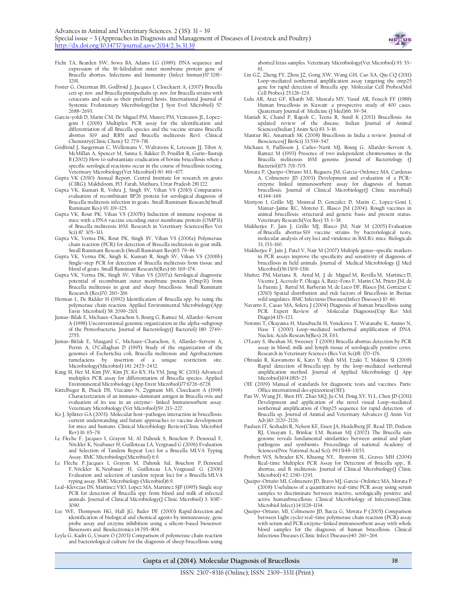

- Ficht TA, Bearden SW, Sowa BA, Adams LG (1989). DNA sequence and expression of the 36–kilodalton outer membrane protein gene of Brucella abortus. Infections and Immunity (Infect Immun)57:3281-3291.
- Foster G, Osterman BS, Godfroid J, Jacques I, Cloeckaert A, (2007) Brucella ceti sp. nov. and Brucella pinnipedialis sp. nov. for Brucella strains with cetaceans and seals as their preferred hosts. International Journal of Systemic Evolutionary Microbiology(Int J Syst Evol Microbiol) 57: 2688–2693.
- Garcia–yoldi D, Marin CM, De Miguel PM, Munoz PM, Vizmanos JL, Lopez– goni I (2006) Multiplex PCR assay for the identification and differentiation of all Brucella species and the vaccine strains Brucella abortus S19 and RB51 and Brucella melitensis Rev1. Clinical Chemistry(Clinic Chem) 52: 779–781.
- Godfroid J, Saegerman C, Wellemans V, Walravens K, Letesson JJ, Tibor A, McMillan A, Spencer M, Sanna S, Bakker D, Pouillot R, Garin–Bastuji B (2002) How to substantiate eradication of bovine brucellosis when a specific serological reactions occur in the course of brucellosis testing. Veterinary Microbiology(Vet Microbiol) 90: 461–477.
- Gupta VK (2010) Annual Report. Central Institute for research on goats (CIRG). Makhdoom, PO. Farah, Mathura, Uttar Pradesh 281 122.
- Gupta VK, Kumari R, Vohra J, Singh SV, Vihan VS (2010) Comparative evaluation of recombinant BP26 protein for serological diagnosis of Brucella melitensis infection in goats. Small Ruminant Research(Small Ruminant Res) 93: 119–125.
- Gupta VK, Rout PK, Vihan VS (2007b) Induction of immune response in mice with a DNA vaccine encoding outer membrane protein (OMP31) of Brucella melitensis 16M. Research in Veterinary Sciences(Res Vet Sci) 87: 305–313.
- Gupta VK, Verma DK, Rout PK, Singh SV, Vihan VS (2006a) Polymerase chain reaction (PCR) for detection of Brucella melitensis in goat milk. Small Ruminant Research (Small Ruminant Res)65: 79–84.
- Gupta VK, Verma DK, Singh K, Kumari R, Singh SV, Vihan VS (2006b) Single–step PCR for detection of Brucella melitensis from tissue and blood of goats. Small Ruminant Research(Res) 66: 169–174.
- Gupta VK, Verma DK, Singh SV, Vihan VS (2007a) Serological diagnostic potential of recombinant outer membrane protein (Omp31) from Brucella melitensis in goat and sheep brucellosis. Small Ruminant Research (Res)70: 260–266
- Herman L, De Ridder H (1992) Identification of Brucella spp. by suing the polymerase chain reaction. Applied Environmental Microbiology(App Envir Microbiol) 58: 2099–2101.
- Jumas–Bilak E, Michaux–Charachon S, Bourg G, Ramuz M, Allardet–Servent A (1998) Unconventional genomic organization in the alpha–subgroup of the Proteobacteria. Journal of Bacteriology(J Bacteriol) 180: 2749– 2755.
- Jumas–Bitlak E, Maugard C, Michaux–Charachon, S, Allardet–Servent A, Perrin A, O'Callaghan D (1995) Study of the organization of the genomes of Escherichia coli, Brucella melitensis and Agrobacterium tumefaciens by insertion of a unique restriction site. Microbiology(Microbiol) 141: 2425–2432.
- Kang SI, Her M, Kim JW, Kim JY, Ko KY, Ha YM, Jung SC (2011) [Advanced](http://www.ncbi.nlm.nih.gov/pubmed/21666028) [multiplex PCR assay for differentiation of Brucella species.](http://www.ncbi.nlm.nih.gov/pubmed/21666028) Applied
- Environmental Microbiology (App Envir Microbiol)77:6726–6728. Kittelbeger R, Diack DS, Vizcaino N, Zygmunt MS, Cloeckaert A (1998) Characterization of an immuno–dominant antigen in Brucella ovis and evaluation of its use in an enzyme– linked Immunosorbent assay. Veterinary Microbiology (Vet Microbiol)59: 213–227.
- Ko J, Splitter GA (2003). Molecular host–pathogen interaction in brucellosis: current understanding and future approaches to vaccine development for mice and humans. Clinical Microbiology Review(Clinic Microbiol Rev) 16: 65–78.
- Le Fleche F, Jacques I, Grayon M, Al Dahouk S, Bouchon P, Denoeud F, Nöckler K, Neubauer H, Guilloteau LA, Vergnaud G (2006) Evaluation and Selection of Tandem Repeat Loci for a Brucella MLVA Typing Assay. BMC Microbiology(Microbiol) 6:9.
- Le Flèche P, Jacques I, Grayon M, Dahouk Sal, Bouchon P, Denoeud F, Nöckler K, Neubauer H, Guilloteau LA, Vergnaud G (2006) Evaluation and selection of tandem repeat loci for a Brucella MLVA typing assay. BMC Microbiology (Microbiol)6:9.
- Leal–Klevezas DS, Martinez VIO, Lopez MA, Martinez SJP (1995) Single step PCR for detection of Brucella spp. from blood and milk of infected animals. Journal of Clinical Microbiology(J Clinic Microbiol) 3: 3087– 3090.
- Lee WE, Thompson HG, Hall JG, Bader DE (2000) Rapid [detection](http://www.ncbi.nlm.nih.gov/pubmed/10945454) and [identification of biological and chemical agents by immunoassay, gene](http://www.ncbi.nlm.nih.gov/pubmed/10945454)  [probe assay and enzyme inhibition using a silicon](http://www.ncbi.nlm.nih.gov/pubmed/10945454)–based biosensor. Biosensors and Bioelectronics 14:795–804.
- Leyla G, Kadri G, Umarn O (2003) Comparison of polymerase chain reaction and bacteriological culture for the diagnosis of sheep brucellosis using

aborted fetus samples. Veterinary Microbiology(Vet Microbiol) 93: 53– 61.

- Lin GZ, Zheng FY, Zhou JZ, Gong XW, Wang GH, Cao XA, Qiu CQ (2011) Loop–[mediated isothermal amplification assay targeting the omp25](http://www.ncbi.nlm.nih.gov/pubmed/21232598)  [gene for rapid detection of Brucella spp.](http://www.ncbi.nlm.nih.gov/pubmed/21232598) Molecular Cell Probes(Mol Cell Probes) 25:126–129.
- Lulu AR, Araz GF, Khatib MI, Mustafa MY, Yusuf AR, Fenech FF (1988) Human brucellosis in Kuwait: a prospective study of 400 cases. Quaternary Journal of Medicine (J Med)66: 39–54.
- Manish K, Chand P, Rajesh C, Teena R, Sunil K (2013) Brucellosis: An updated review of the disease. Indian Journal of Animal Sciences(Indian J Anim Sci) 83: 3–16.
- Mantur BG, Amarnath SK (2008) Brucellosis in India a review. Journal of Biosciences(J BioSci) 33:539–547.
- Michaux [S, P](http://www.ncbi.nlm.nih.gov/pubmed/?term=Michaux%20S%5Bauth%5D)aillisson [J, C](http://www.ncbi.nlm.nih.gov/pubmed/?term=Paillisson%20J%5Bauth%5D)arles–Nurit [MJ, Bourg](http://www.ncbi.nlm.nih.gov/pubmed/?term=Carles-Nurit%20MJ%5Bauth%5D) G, [Allardet](http://www.ncbi.nlm.nih.gov/pubmed/?term=Allardet-Servent%20A%5Bauth%5D)–Servent A, Ramuz [M \(](http://www.ncbi.nlm.nih.gov/pubmed/?term=Ramuz%20M%5Bauth%5D)1993) Presence of two independent chromosomes in the Brucella melitensis 16M genome. Journal of Bacteriology (J Bacteriol)175: 701–705.
- Morata P, Queipo–Ortuno M.I, Reguera JM, Garcia–Ordonez MA, Cardenas A, Colmenero JD (2003) Development and evaluation of a PCR– enzyme linked immunosorbent assay for diagnosis of human brucellosis. Journal of Clinical Microbiology(J<sup>o</sup>Clinic microbial) 41:144–148.
- Moriyon I, Grillo MJ, Monreal D, Gonzalez D, Marin C, Lopez–Goni I, Mainar–Jaime RC, Moreno E, Blasco JM (2004). Rough vaccines in animal brucellosis: structural and genetic basis and present status. Veterinary Research(Vet Res) 35: 1–38.
- Mukherjee F, Jain J, Grillo MJ, Blasco JM, Nair M (2005) Evaluation of Brucella abortus S19 vaccine strains by bacteriological tests, molecular analysis of ery loci and virulence in BALB/c mice. Biologicals 33, 153–160.
- Mukherjee F, Jain J, Patel V, Nair M (2007) Multiple genus–specific markers in PCR assays improve the specificity and sensitivity of diagnosis of brucellosis in field animals. Journal of Medical Microbiology (J Med Microbiol)56:1309–1316.
- Muñoz PM, Mariana B, Arnal M, J de Miguel M, Revilla M, Martínez D, Vicente J, Acevedo P, Oleaga A, Ruiz–Fons F, Marín CM, Prieto JM, de la Fuente J, Barral M, Barberán M, de Luco DF, Blasco JM, Gortázar C (2010) Spatial distribution and risk factors of Brucellosis in Iberian wild ungulates. BMC Infectious Diseases(Infect Disesses) 10: 46.
- Navarro E, Casao MA, Solera J (2004) Diagnosis of human brucellosis using PCR. Expert Review of Molecular Diagnosis(Exp Rev Mol Diagn)4:115–123.
- Notomi T, Okayama H, Masubuchi H, Yonekawa T, Watanabe K, Amino N, Hase T (2000) Loop–mediated isothermal amplification of DNA. Nucleic Acids Research(Res) 28, E63.
- O'Leary S, Sheahan M, Sweeney T (2006) Brucella abortus detection by PCR assay in blood, milk and lymph tissue of serologically positive cows. Research in Veterinary Sciences (Res Vet Sci)81: 170–176.
- Ohtsuki R, Kawamoto K, Kato Y, Shah MM, Ezaki T, Makino SI (2008) Rapid detection of Brucella spp. by the loop–[mediated isothermal](http://www.ncbi.nlm.nih.gov/pubmed/18248366)  [amplification method.](http://www.ncbi.nlm.nih.gov/pubmed/18248366) Journal of Applied Microbiology (J App Microbiol)104:1815–23
- OIE (2009) Manual of standards for diagnostic tests and vaccines. Paris: Office international des epizooties(OIE).
- Pan W, Wang JY, Shen HY, Zhao MQ, Ju CM, Dong XY, Yi L, Chen JD (2011) Development and application of the novel visual Loop–mediated isothermal amplification of Omp25 sequence for rapid detection of Brucella sp. Journal of Animal and Veterinary Advances (J Anim Vet Adv)10: 2120–2126.
- Paulsen IT, Seshadri R, Nelson KE, Eisen JA, Heidelberg JF, Read TD, Dodson RJ, Umayam L, Brinkac LM, Beanan MJ (2002) The Brucella suis genome reveals fundamental similarities between animal and plant pathogens and symbionts. Proceedings of national Academy of Sciences(Proc National Acad Sci). 99:13148–13153.
- Probert WS, Schrader KN, Khuong NY, Bystrom SL, Graves MH (2004) Real-time Multiplex PCR Assay for Detection of Brucella spp., B. abortus, and B. melitensis. Journal of Clinical Microbiology(J Clinic Microbiol) 42: 1290–1293.
- Queipo–Ortuño MI, Colmenero JD, Bravo MJ, García–Ordoñez MA, Morata P (2008[\) Usefulness of a quantitative real](http://www.ncbi.nlm.nih.gov/pubmed/19046166)–time PCR assay using serum [samples to discriminate between inactive, serologically positive and](http://www.ncbi.nlm.nih.gov/pubmed/19046166)  [active humanbrucellosis.](http://www.ncbi.nlm.nih.gov/pubmed/19046166) Clinical Microbiology of Infections(Clinic Microbiol Infect) 14:1128–1134.
- Queipo–Ortuno, MI, Colmenero JD, Baeza G, Morata P (2005) Comparison between Light cycler real–time polymerase chain reaction (PCR) assay with serum and PCR enzyme–linked immunosorbent assay with whole blood samples for the diagnosis of human brucellosis. Clinical Infectious Diseases (Clinic Infect Diseases)40: 260–264.